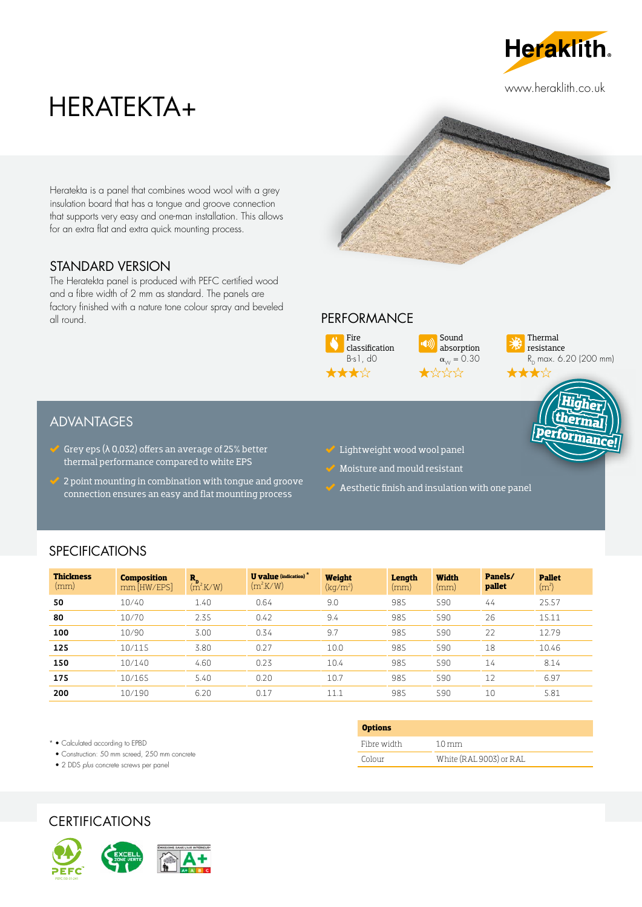

www.heraklith.co.uk

# HERATEKTA+

Heratekta is a panel that combines wood wool with a grey insulation board that has a tongue and groove connection that supports very easy and one-man installation. This allows for an extra flat and extra quick mounting process.

# STANDARD VERSION

The Heratekta panel is produced with PEFC certified wood and a fibre width of 2 mm as standard. The panels are factory finished with a nature tone colour spray and beveled all round.

# **PERFORMANCE**



Sound absorption  $\alpha_{\text{W}} = 0.30$ 



# ADVANTAGES

- Grey eps ( $\lambda$  0,032) offers an average of 25% better thermal performance compared to white EPS
- 2 point mounting in combination with tongue and groove connection ensures an easy and flat mounting process
- $\vee$  Lightweight wood wool panel
- Moisture and mould resistant
- $\checkmark$  Aesthetic finish and insulation with one panel

# **SPECIFICATIONS**

| <b>Thickness</b><br>(mm) | <b>Composition</b><br>$mm$ [HW/EPS] | $R_{p}$<br>$(m^2K/W)$ | <b>U</b> value (indication) <sup>*</sup><br>$(m^2$ K/W) | Weight<br>(kq/m <sup>2</sup> ) | Length<br>(mm) | <b>Width</b><br>(mm) | Panels/<br>pallet | <b>Pallet</b><br>(m <sup>2</sup> ) |
|--------------------------|-------------------------------------|-----------------------|---------------------------------------------------------|--------------------------------|----------------|----------------------|-------------------|------------------------------------|
| 50                       | 10/40                               | 1.40                  | 0.64                                                    | 9.0                            | 985            | 590                  | 44                | 25.57                              |
| 80                       | 10/70                               | 2.35                  | 0.42                                                    | 9.4                            | 985            | 590                  | 26                | 15.11                              |
| 100                      | 10/90                               | 3.00                  | 0.34                                                    | 9.7                            | 985            | 590                  | 22                | 12.79                              |
| 125                      | 10/115                              | 3.80                  | 0.27                                                    | 10.0                           | 985            | 590                  | 18                | 10.46                              |
| 150                      | 10/140                              | 4.60                  | 0.23                                                    | 10.4                           | 985            | 590                  | 14                | 8.14                               |
| 175                      | 10/165                              | 5.40                  | 0.20                                                    | 10.7                           | 985            | 590                  | 12                | 6.97                               |
| 200                      | 10/190                              | 6.20                  | 0.17                                                    | 11.1                           | 985            | 590                  | 10                | 5.81                               |

\* • Calculated according to EPBD

• Construction: 50 mm screed, 250 mm concrete

• 2 DDS *plus* concrete screws per panel





| <b>Options</b> |                         |
|----------------|-------------------------|
| Fibre width    | $1.0 \text{ mm}$        |
| Colour         | White (RAL 9003) or RAL |